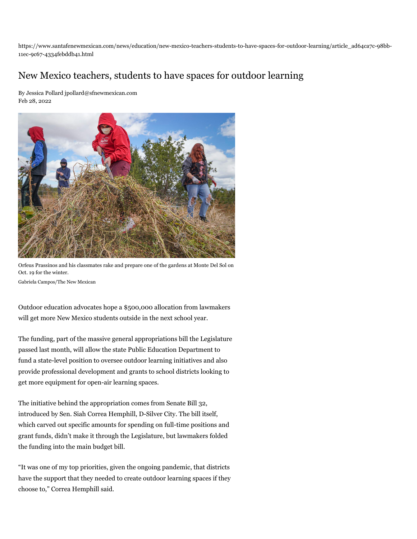https://www.santafenewmexican.com/news/education/new-mexico-teachers-students-to-have-spaces-for-outdoor-learning/article\_ad64ca7c-98bb-11ec-9c67-4334febddb41.html

## New Mexico teachers, students to have spaces for outdoor learning

[By Jessica Pollard jpollard@sfnewmexican.com](https://www.santafenewmexican.com/users/profile/Jessica%20Pollard) Feb 28, 2022



Orfeus Prassinos and his classmates rake and prepare one of the gardens at Monte Del Sol on Oct. 19 for the winter.

[Gabriela Campos/The New Mexican](https://www.santafenewmexican.com/users/profile/gcampos)

Outdoor education advocates hope a \$500,000 allocation from lawmakers will get more New Mexico students outside in the next school year.

The funding, part of the massive general appropriations bill the Legislature passed last month, will allow the state Public Education Department to fund a state-level position to oversee outdoor learning initiatives and also provide professional development and grants to school districts looking to get more equipment for open-air learning spaces.

The initiative behind the appropriation comes from Senate Bill 32, introduced by Sen. Siah Correa Hemphill, D-Silver City. The bill itself, which carved out specific amounts for spending on full-time positions and grant funds, didn't make it through the Legislature, but lawmakers folded the funding into the main budget bill.

"It was one of my top priorities, given the ongoing pandemic, that districts have the support that they needed to create outdoor learning spaces if they choose to," Correa Hemphill said.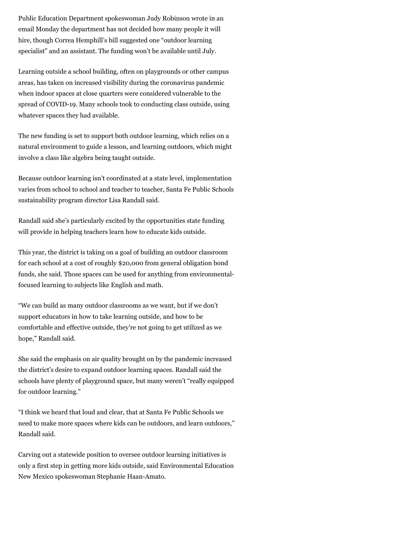Public Education Department spokeswoman Judy Robinson wrote in an email Monday the department has not decided how many people it will hire, though Correa Hemphill's bill suggested one "outdoor learning specialist" and an assistant. The funding won't be available until July.

Learning outside a school building, often on playgrounds or other campus areas, has taken on increased visibility during the coronavirus pandemic when indoor spaces at close quarters were considered vulnerable to the spread of COVID-19. Many schools took to conducting class outside, using whatever spaces they had available.

The new funding is set to support both outdoor learning, which relies on a natural environment to guide a lesson, and learning outdoors, which might involve a class like algebra being taught outside.

Because outdoor learning isn't coordinated at a state level, implementation varies from school to school and teacher to teacher, Santa Fe Public Schools sustainability program director Lisa Randall said.

Randall said she's particularly excited by the opportunities state funding will provide in helping teachers learn how to educate kids outside.

This year, the district is taking on a goal of building an outdoor classroom for each school at a cost of roughly \$20,000 from general obligation bond funds, she said. Those spaces can be used for anything from environmentalfocused learning to subjects like English and math.

"We can build as many outdoor classrooms as we want, but if we don't support educators in how to take learning outside, and how to be comfortable and effective outside, they're not going to get utilized as we hope," Randall said.

She said the emphasis on air quality brought on by the pandemic increased the district's desire to expand outdoor learning spaces. Randall said the schools have plenty of playground space, but many weren't "really equipped for outdoor learning."

"I think we heard that loud and clear, that at Santa Fe Public Schools we need to make more spaces where kids can be outdoors, and learn outdoors," Randall said.

Carving out a statewide position to oversee outdoor learning initiatives is only a first step in getting more kids outside, said Environmental Education New Mexico spokeswoman Stephanie Haan-Amato.